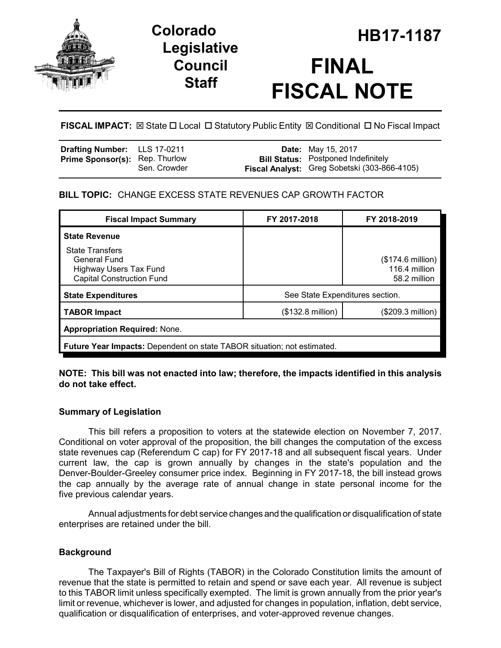

# **Legislative Council Staff**

# **HB17-1187 Colorado FINAL FISCAL NOTE**

**FISCAL IMPACT:** ⊠ State  $\Box$  Local  $\Box$  Statutory Public Entity  $\boxtimes$  Conditional  $\Box$  No Fiscal Impact

| Drafting Number: LLS 17-0211          |              | <b>Date:</b> May 15, 2017                                                                  |
|---------------------------------------|--------------|--------------------------------------------------------------------------------------------|
| <b>Prime Sponsor(s): Rep. Thurlow</b> | Sen. Crowder | <b>Bill Status:</b> Postponed Indefinitely<br>Fiscal Analyst: Greg Sobetski (303-866-4105) |

# **BILL TOPIC:** CHANGE EXCESS STATE REVENUES CAP GROWTH FACTOR

| <b>Fiscal Impact Summary</b>                                                                                | FY 2017-2018                    | FY 2018-2019                                       |  |  |
|-------------------------------------------------------------------------------------------------------------|---------------------------------|----------------------------------------------------|--|--|
| <b>State Revenue</b>                                                                                        |                                 |                                                    |  |  |
| <b>State Transfers</b><br>General Fund<br><b>Highway Users Tax Fund</b><br><b>Capital Construction Fund</b> |                                 | (\$174.6 million)<br>116.4 million<br>58.2 million |  |  |
| <b>State Expenditures</b>                                                                                   | See State Expenditures section. |                                                    |  |  |
| <b>TABOR Impact</b>                                                                                         | $($132.8 \text{ million})$      | (\$209.3 million)                                  |  |  |
| <b>Appropriation Required: None.</b>                                                                        |                                 |                                                    |  |  |
| Future Year Impacts: Dependent on state TABOR situation; not estimated.                                     |                                 |                                                    |  |  |

# **NOTE: This bill was not enacted into law; therefore, the impacts identified in this analysis do not take effect.**

# **Summary of Legislation**

This bill refers a proposition to voters at the statewide election on November 7, 2017. Conditional on voter approval of the proposition, the bill changes the computation of the excess state revenues cap (Referendum C cap) for FY 2017-18 and all subsequent fiscal years. Under current law, the cap is grown annually by changes in the state's population and the Denver-Boulder-Greeley consumer price index. Beginning in FY 2017-18, the bill instead grows the cap annually by the average rate of annual change in state personal income for the five previous calendar years.

Annual adjustments for debt service changes and the qualification or disqualification of state enterprises are retained under the bill.

# **Background**

The Taxpayer's Bill of Rights (TABOR) in the Colorado Constitution limits the amount of revenue that the state is permitted to retain and spend or save each year. All revenue is subject to this TABOR limit unless specifically exempted. The limit is grown annually from the prior year's limit or revenue, whichever is lower, and adjusted for changes in population, inflation, debt service, qualification or disqualification of enterprises, and voter-approved revenue changes.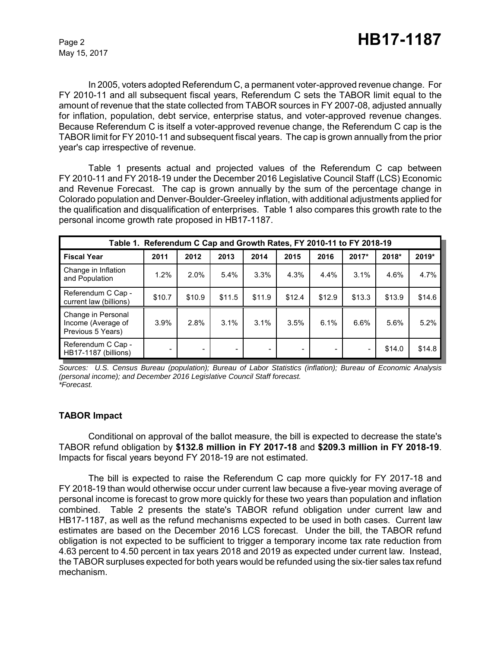May 15, 2017

In 2005, voters adopted Referendum C, a permanent voter-approved revenue change. For FY 2010-11 and all subsequent fiscal years, Referendum C sets the TABOR limit equal to the amount of revenue that the state collected from TABOR sources in FY 2007-08, adjusted annually for inflation, population, debt service, enterprise status, and voter-approved revenue changes. Because Referendum C is itself a voter-approved revenue change, the Referendum C cap is the TABOR limit for FY 2010-11 and subsequent fiscal years. The cap is grown annually from the prior year's cap irrespective of revenue.

Table 1 presents actual and projected values of the Referendum C cap between FY 2010-11 and FY 2018-19 under the December 2016 Legislative Council Staff (LCS) Economic and Revenue Forecast. The cap is grown annually by the sum of the percentage change in Colorado population and Denver-Boulder-Greeley inflation, with additional adjustments applied for the qualification and disqualification of enterprises. Table 1 also compares this growth rate to the personal income growth rate proposed in HB17-1187.

| Table 1. Referendum C Cap and Growth Rates, FY 2010-11 to FY 2018-19 |        |        |        |        |        |        |        |        |        |
|----------------------------------------------------------------------|--------|--------|--------|--------|--------|--------|--------|--------|--------|
| <b>Fiscal Year</b>                                                   | 2011   | 2012   | 2013   | 2014   | 2015   | 2016   | 2017*  | 2018*  | 2019*  |
| Change in Inflation<br>and Population                                | 1.2%   | 2.0%   | 5.4%   | 3.3%   | 4.3%   | 4.4%   | 3.1%   | 4.6%   | 4.7%   |
| Referendum C Cap -<br>current law (billions)                         | \$10.7 | \$10.9 | \$11.5 | \$11.9 | \$12.4 | \$12.9 | \$13.3 | \$13.9 | \$14.6 |
| Change in Personal<br>Income (Average of<br>Previous 5 Years)        | 3.9%   | 2.8%   | 3.1%   | 3.1%   | 3.5%   | 6.1%   | 6.6%   | 5.6%   | 5.2%   |
| Referendum C Cap -<br>HB17-1187 (billions)                           |        |        | -      |        |        |        |        | \$14.0 | \$14.8 |

*Sources: U.S. Census Bureau (population); Bureau of Labor Statistics (inflation); Bureau of Economic Analysis (personal income); and December 2016 Legislative Council Staff forecast. \*Forecast.*

#### **TABOR Impact**

Conditional on approval of the ballot measure, the bill is expected to decrease the state's TABOR refund obligation by **\$132.8 million in FY 2017-18** and **\$209.3 million in FY 2018-19**. Impacts for fiscal years beyond FY 2018-19 are not estimated.

The bill is expected to raise the Referendum C cap more quickly for FY 2017-18 and FY 2018-19 than would otherwise occur under current law because a five-year moving average of personal income is forecast to grow more quickly for these two years than population and inflation combined. Table 2 presents the state's TABOR refund obligation under current law and HB17-1187, as well as the refund mechanisms expected to be used in both cases. Current law estimates are based on the December 2016 LCS forecast. Under the bill, the TABOR refund obligation is not expected to be sufficient to trigger a temporary income tax rate reduction from 4.63 percent to 4.50 percent in tax years 2018 and 2019 as expected under current law. Instead, the TABOR surpluses expected for both years would be refunded using the six-tier sales tax refund mechanism.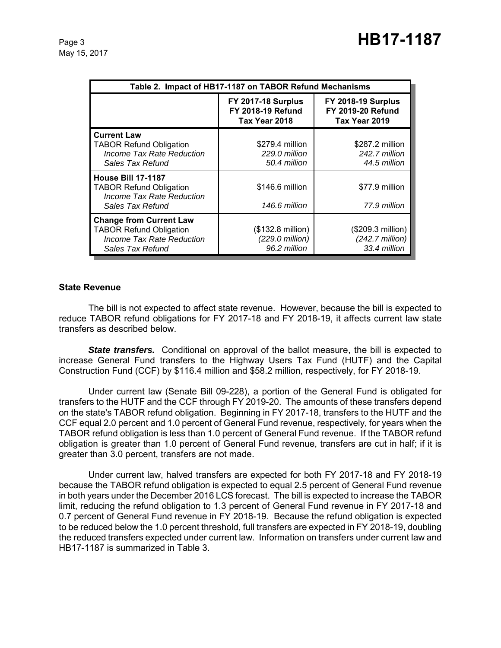May 15, 2017

| Table 2. Impact of HB17-1187 on TABOR Refund Mechanisms                                                                  |                                                                        |                                                                 |  |  |  |
|--------------------------------------------------------------------------------------------------------------------------|------------------------------------------------------------------------|-----------------------------------------------------------------|--|--|--|
|                                                                                                                          | <b>FY 2017-18 Surplus</b><br><b>FY 2018-19 Refund</b><br>Tax Year 2018 | FY 2018-19 Surplus<br><b>FY 2019-20 Refund</b><br>Tax Year 2019 |  |  |  |
| <b>Current Law</b><br><b>TABOR Refund Obligation</b><br>Income Tax Rate Reduction<br>Sales Tax Refund                    | \$279.4 million<br>229.0 million<br>50.4 million                       | \$287.2 million<br>242.7 million<br>44.5 million                |  |  |  |
| <b>House Bill 17-1187</b><br><b>TABOR Refund Obligation</b><br>Income Tax Rate Reduction<br>Sales Tax Refund             | \$146.6 million<br>146.6 million                                       | \$77.9 million<br>77.9 million                                  |  |  |  |
| <b>Change from Current Law</b><br><b>TABOR Refund Obligation</b><br><b>Income Tax Rate Reduction</b><br>Sales Tax Refund | (\$132.8 million)<br>(229.0 million)<br>96.2 million                   | (\$209.3 million)<br>$(242.7$ million)<br>33.4 million          |  |  |  |

#### **State Revenue**

The bill is not expected to affect state revenue. However, because the bill is expected to reduce TABOR refund obligations for FY 2017-18 and FY 2018-19, it affects current law state transfers as described below.

**State transfers.** Conditional on approval of the ballot measure, the bill is expected to increase General Fund transfers to the Highway Users Tax Fund (HUTF) and the Capital Construction Fund (CCF) by \$116.4 million and \$58.2 million, respectively, for FY 2018-19.

Under current law (Senate Bill 09-228), a portion of the General Fund is obligated for transfers to the HUTF and the CCF through FY 2019-20. The amounts of these transfers depend on the state's TABOR refund obligation. Beginning in FY 2017-18, transfers to the HUTF and the CCF equal 2.0 percent and 1.0 percent of General Fund revenue, respectively, for years when the TABOR refund obligation is less than 1.0 percent of General Fund revenue. If the TABOR refund obligation is greater than 1.0 percent of General Fund revenue, transfers are cut in half; if it is greater than 3.0 percent, transfers are not made.

Under current law, halved transfers are expected for both FY 2017-18 and FY 2018-19 because the TABOR refund obligation is expected to equal 2.5 percent of General Fund revenue in both years under the December 2016 LCS forecast. The bill is expected to increase the TABOR limit, reducing the refund obligation to 1.3 percent of General Fund revenue in FY 2017-18 and 0.7 percent of General Fund revenue in FY 2018-19. Because the refund obligation is expected to be reduced below the 1.0 percent threshold, full transfers are expected in FY 2018-19, doubling the reduced transfers expected under current law. Information on transfers under current law and HB17-1187 is summarized in Table 3.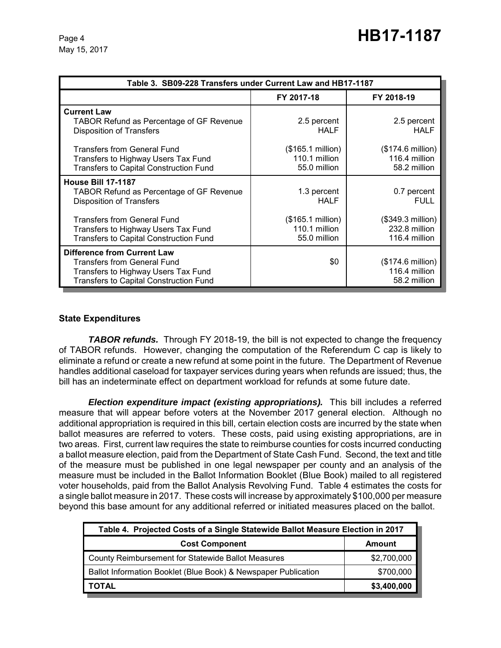| Table 3. SB09-228 Transfers under Current Law and HB17-1187                                                                                               |                                                             |                                                     |  |  |
|-----------------------------------------------------------------------------------------------------------------------------------------------------------|-------------------------------------------------------------|-----------------------------------------------------|--|--|
|                                                                                                                                                           | FY 2017-18                                                  | FY 2018-19                                          |  |  |
| <b>Current Law</b><br><b>TABOR Refund as Percentage of GF Revenue</b><br><b>Disposition of Transfers</b>                                                  | 2.5 percent<br><b>HALF</b>                                  | 2.5 percent<br><b>HALF</b>                          |  |  |
| <b>Transfers from General Fund</b><br>Transfers to Highway Users Tax Fund<br><b>Transfers to Capital Construction Fund</b>                                | $($165.1 \text{ million})$<br>110.1 million<br>55.0 million | (\$174.6 million)<br>116.4 million<br>58.2 million  |  |  |
| <b>House Bill 17-1187</b><br><b>TABOR Refund as Percentage of GF Revenue</b><br><b>Disposition of Transfers</b>                                           | 1.3 percent<br><b>HALF</b>                                  | 0.7 percent<br><b>FULL</b>                          |  |  |
| <b>Transfers from General Fund</b><br>Transfers to Highway Users Tax Fund<br>Transfers to Capital Construction Fund                                       | (\$165.1 million)<br>110.1 million<br>55.0 million          | (\$349.3 million)<br>232.8 million<br>116.4 million |  |  |
| <b>Difference from Current Law</b><br><b>Transfers from General Fund</b><br>Transfers to Highway Users Tax Fund<br>Transfers to Capital Construction Fund | \$0                                                         | (\$174.6 million)<br>116.4 million<br>58.2 million  |  |  |

#### **State Expenditures**

*TABOR refunds.* Through FY 2018-19, the bill is not expected to change the frequency of TABOR refunds. However, changing the computation of the Referendum C cap is likely to eliminate a refund or create a new refund at some point in the future. The Department of Revenue handles additional caseload for taxpayer services during years when refunds are issued; thus, the bill has an indeterminate effect on department workload for refunds at some future date.

*Election expenditure impact (existing appropriations).* This bill includes a referred measure that will appear before voters at the November 2017 general election. Although no additional appropriation is required in this bill, certain election costs are incurred by the state when ballot measures are referred to voters. These costs, paid using existing appropriations, are in two areas. First, current law requires the state to reimburse counties for costs incurred conducting a ballot measure election, paid from the Department of State Cash Fund. Second, the text and title of the measure must be published in one legal newspaper per county and an analysis of the measure must be included in the Ballot Information Booklet (Blue Book) mailed to all registered voter households, paid from the Ballot Analysis Revolving Fund. Table 4 estimates the costs for a single ballot measure in 2017. These costs will increase by approximately \$100,000 per measure beyond this base amount for any additional referred or initiated measures placed on the ballot.

| Table 4. Projected Costs of a Single Statewide Ballot Measure Election in 2017 |             |  |  |
|--------------------------------------------------------------------------------|-------------|--|--|
| <b>Cost Component</b>                                                          | Amount      |  |  |
| County Reimbursement for Statewide Ballot Measures                             | \$2,700,000 |  |  |
| Ballot Information Booklet (Blue Book) & Newspaper Publication                 | \$700,000   |  |  |
| <b>TOTAL</b>                                                                   | \$3,400,000 |  |  |